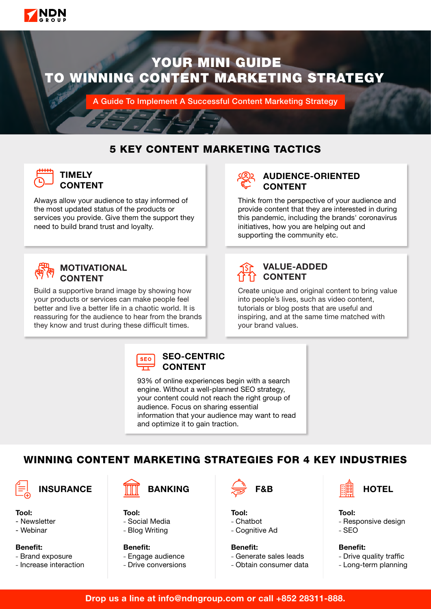

# YOUR MINI GUIDE TO WINNING CONTENT MARKETING STRATEGY

A Guide To Implement A Successful Content Marketing Strategy

## 5 KEY CONTENT MARKETING TACTICS



### **TIMELY** CONTENT

Always allow your audience to stay informed of the most updated status of the products or services you provide. Give them the support they need to build brand trust and loyalty.



### MOTIVATIONAL **CONTENT**

Build a supportive brand image by showing how your products or services can make people feel better and live a better life in a chaotic world. It is reassuring for the audience to hear from the brands they know and trust during these difficult times.



### AUDIENCE-ORIENTED CONTENT

Think from the perspective of your audience and provide content that they are interested in during this pandemic, including the brands' coronavirus initiatives, how you are helping out and supporting the community etc.



### VALUE-ADDED **CONTENT**

Create unique and original content to bring value into people's lives, such as video content, tutorials or blog posts that are useful and inspiring, and at the same time matched with your brand values.

**SEO** 

#### SEO-CENTRIC CONTENT

93% of online experiences begin with a search engine. Without a well-planned SEO strategy, your content could not reach the right group of audience. Focus on sharing essential information that your audience may want to read and optimize it to gain traction.

# WINNING CONTENT MARKETING STRATEGIES FOR 4 KEY INDUSTRIES

Tool:

- Newsletter
- Webinar
- Benefit:
- Brand exposure
- Increase interaction



Tool: - Social Media

- Blog Writing

Benefit: - Engage audience - Drive conversions



Tool: - Chatbot - Cognitive Ad

Benefit: - Generate sales leads - Obtain consumer data



Tool: - Responsive design - SEO

Benefit: - Drive quality traffic - Long-term planning

Drop us a line at info@ndngroup.com or call +852 28311-888.